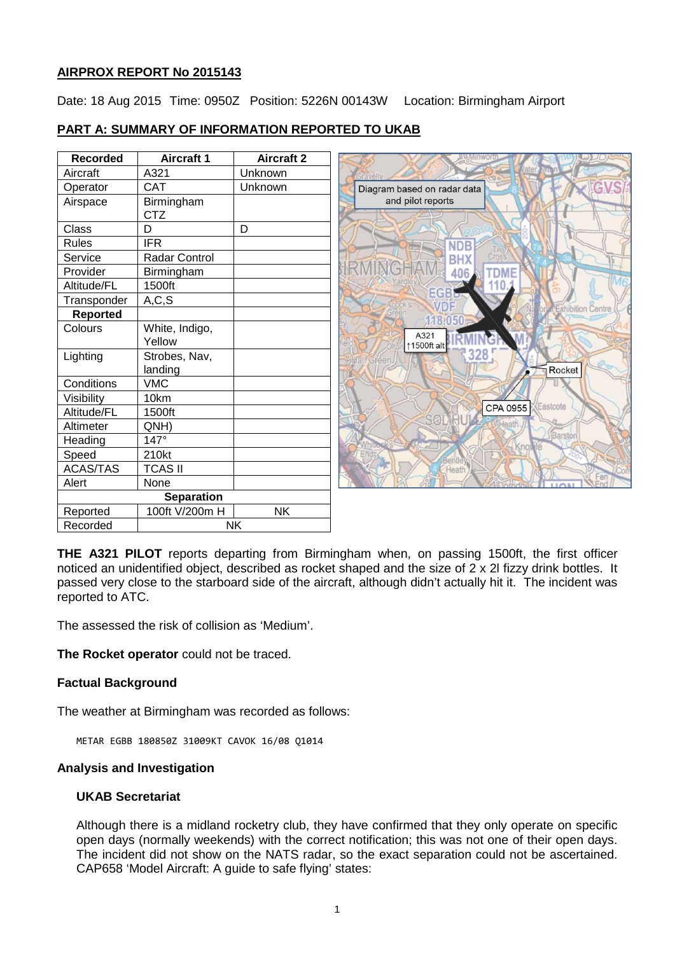# **AIRPROX REPORT No 2015143**

Date: 18 Aug 2015 Time: 0950Z Position: 5226N 00143W Location: Birmingham Airport

# **PART A: SUMMARY OF INFORMATION REPORTED TO UKAB**

| <b>Recorded</b>   | <b>Aircraft 1</b>        | <b>Aircraft 2</b> |
|-------------------|--------------------------|-------------------|
| Aircraft          | A321                     | Unknown           |
| Operator          | CAT                      | Unknown           |
| Airspace          | Birmingham<br><b>CTZ</b> |                   |
| Class             | D                        | D                 |
| Rules             | IFR                      |                   |
| Service           | Radar Control            |                   |
| Provider          | Birmingham               |                   |
| Altitude/FL       | 1500ft                   |                   |
| Transponder       | A, C, S                  |                   |
| <b>Reported</b>   |                          |                   |
| Colours           | White, Indigo,<br>Yellow |                   |
| Lighting          | Strobes, Nav,<br>landing |                   |
| Conditions        | <b>VMC</b>               |                   |
| Visibility        | 10km                     |                   |
| Altitude/FL       | 1500ft                   |                   |
| Altimeter         | QNH)                     |                   |
| Heading           | $147^\circ$              |                   |
| Speed             | 210kt                    |                   |
| <b>ACAS/TAS</b>   | <b>TCAS II</b>           |                   |
| Alert             | None                     |                   |
| <b>Separation</b> |                          |                   |
| Reported          | 100ft V/200m H           | NK                |
| Recorded          | NK                       |                   |



**THE A321 PILOT** reports departing from Birmingham when, on passing 1500ft, the first officer noticed an unidentified object, described as rocket shaped and the size of 2 x 2l fizzy drink bottles. It passed very close to the starboard side of the aircraft, although didn't actually hit it. The incident was reported to ATC.

The assessed the risk of collision as 'Medium'.

**The Rocket operator** could not be traced.

# **Factual Background**

The weather at Birmingham was recorded as follows:

METAR EGBB 180850Z 31009KT CAVOK 16/08 Q1014

# **Analysis and Investigation**

# **UKAB Secretariat**

Although there is a midland rocketry club, they have confirmed that they only operate on specific open days (normally weekends) with the correct notification; this was not one of their open days. The incident did not show on the NATS radar, so the exact separation could not be ascertained. CAP658 'Model Aircraft: A guide to safe flying' states: